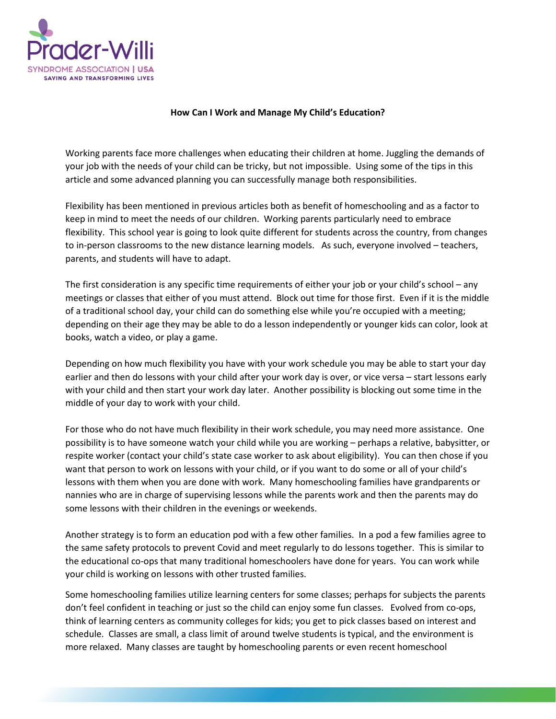

## **How Can I Work and Manage My Child's Education?**

Working parents face more challenges when educating their children at home. Juggling the demands of your job with the needs of your child can be tricky, but not impossible. Using some of the tips in this article and some advanced planning you can successfully manage both responsibilities.

Flexibility has been mentioned in previous articles both as benefit of homeschooling and as a factor to keep in mind to meet the needs of our children. Working parents particularly need to embrace flexibility. This school year is going to look quite different for students across the country, from changes to in-person classrooms to the new distance learning models. As such, everyone involved – teachers, parents, and students will have to adapt.

The first consideration is any specific time requirements of either your job or your child's school – any meetings or classes that either of you must attend. Block out time for those first. Even if it is the middle of a traditional school day, your child can do something else while you're occupied with a meeting; depending on their age they may be able to do a lesson independently or younger kids can color, look at books, watch a video, or play a game.

Depending on how much flexibility you have with your work schedule you may be able to start your day earlier and then do lessons with your child after your work day is over, or vice versa – start lessons early with your child and then start your work day later. Another possibility is blocking out some time in the middle of your day to work with your child.

For those who do not have much flexibility in their work schedule, you may need more assistance. One possibility is to have someone watch your child while you are working – perhaps a relative, babysitter, or respite worker (contact your child's state case worker to ask about eligibility). You can then chose if you want that person to work on lessons with your child, or if you want to do some or all of your child's lessons with them when you are done with work. Many homeschooling families have grandparents or nannies who are in charge of supervising lessons while the parents work and then the parents may do some lessons with their children in the evenings or weekends.

Another strategy is to form an education pod with a few other families. In a pod a few families agree to the same safety protocols to prevent Covid and meet regularly to do lessons together. This is similar to the educational co-ops that many traditional homeschoolers have done for years. You can work while your child is working on lessons with other trusted families.

Some homeschooling families utilize learning centers for some classes; perhaps for subjects the parents don't feel confident in teaching or just so the child can enjoy some fun classes. Evolved from co-ops, think of learning centers as community colleges for kids; you get to pick classes based on interest and schedule. Classes are small, a class limit of around twelve students is typical, and the environment is more relaxed. Many classes are taught by homeschooling parents or even recent homeschool